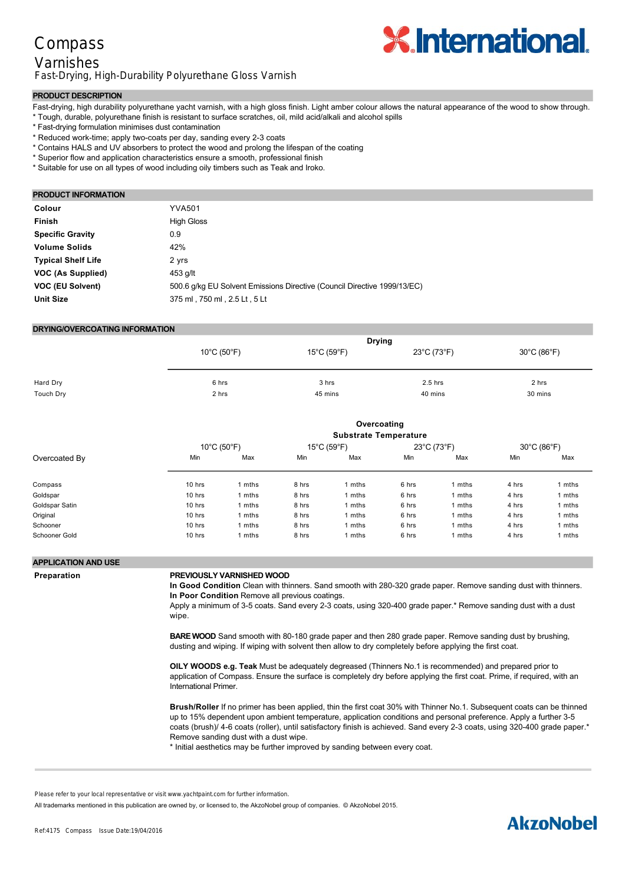## Compass Varnishes Fast-Drying, High-Durability Polyurethane Gloss Varnish



### **PRODUCT DESCRIPTION**

- Fast-drying, high durability polyurethane yacht varnish, with a high gloss finish. Light amber colour allows the natural appearance of the wood to show through.
- \* Tough, durable, polyurethane finish is resistant to surface scratches, oil, mild acid/alkali and alcohol spills
- \* Fast-drying formulation minimises dust contamination
- \* Reduced work-time; apply two-coats per day, sanding every 2-3 coats
- \* Contains HALS and UV absorbers to protect the wood and prolong the lifespan of the coating
- \* Superior flow and application characteristics ensure a smooth, professional finish
- \* Suitable for use on all types of wood including oily timbers such as Teak and Iroko.

#### **PRODUCT INFORMATION**

| Colour                    | <b>YVA501</b>                                                            |
|---------------------------|--------------------------------------------------------------------------|
| <b>Finish</b>             | <b>High Gloss</b>                                                        |
| <b>Specific Gravity</b>   | 0.9                                                                      |
| <b>Volume Solids</b>      | 42%                                                                      |
| <b>Typical Shelf Life</b> | 2 yrs                                                                    |
| VOC (As Supplied)         | 453 g/lt                                                                 |
| <b>VOC (EU Solvent)</b>   | 500.6 g/kg EU Solvent Emissions Directive (Council Directive 1999/13/EC) |
| <b>Unit Size</b>          | 375 ml, 750 ml, 2.5 Lt, 5 Lt                                             |
|                           |                                                                          |

### **DRYING/OVERCOATING INFORMATION**

|           | $10^{\circ}$ C (50 $^{\circ}$ F) | <b>Drying</b><br>$15^{\circ}$ C (59 $^{\circ}$ F) | 23°C (73°F) | 30°C (86°F) |
|-----------|----------------------------------|---------------------------------------------------|-------------|-------------|
| Hard Dry  | 6 hrs                            | 3 hrs                                             | $2.5$ hrs   | 2 hrs       |
| Touch Dry | 2 hrs                            | 45 mins                                           | 40 mins     | 30 mins     |

|                |                                  | Overcoating                  |       |                                  |       |             |       |             |  |
|----------------|----------------------------------|------------------------------|-------|----------------------------------|-------|-------------|-------|-------------|--|
|                |                                  | <b>Substrate Temperature</b> |       |                                  |       |             |       |             |  |
|                | $10^{\circ}$ C (50 $^{\circ}$ F) |                              |       | $15^{\circ}$ C (59 $^{\circ}$ F) |       | 23°C (73°F) |       | 30°C (86°F) |  |
| Overcoated By  | Min                              | Max                          | Min   | Max                              | Min   | Max         | Min   | Max         |  |
| Compass        | 10 hrs                           | mths                         | 8 hrs | mths                             | 6 hrs | 1 mths      | 4 hrs | mths        |  |
| Goldspar       | 10 hrs                           | mths                         | 8 hrs | mths                             | 6 hrs | 1 mths      | 4 hrs | mths        |  |
| Goldspar Satin | 10 hrs                           | mths                         | 8 hrs | mths                             | 6 hrs | 1 mths      | 4 hrs | mths        |  |
| Original       | 10 hrs                           | mths                         | 8 hrs | mths                             | 6 hrs | 1 mths      | 4 hrs | mths        |  |
| Schooner       | 10 hrs                           | mths                         | 8 hrs | mths                             | 6 hrs | 1 mths      | 4 hrs | mths        |  |
| Schooner Gold  | 10 hrs                           | mths                         | 8 hrs | mths                             | 6 hrs | 1 mths      | 4 hrs | mths        |  |

#### **APPLICATION AND USE**

#### **Preparation PREVIOUSLY VARNISHED WOOD**

In Good Condition Clean with thinners. Sand smooth with 280-320 grade paper. Remove sanding dust with thinners. **In Poor Condition** Remove all previous coatings.

Apply a minimum of 35 coats. Sand every 23 coats, using 320400 grade paper.\* Remove sanding dust with a dust wipe.

**BARE WOOD** Sand smooth with 80-180 grade paper and then 280 grade paper. Remove sanding dust by brushing, dusting and wiping. If wiping with solvent then allow to dry completely before applying the first coat.

**OILY WOODS e.g. Teak** Must be adequately degreased (Thinners No.1 is recommended) and prepared prior to application of Compass. Ensure the surface is completely dry before applying the first coat. Prime, if required, with an International Primer.

**Brush/Roller** If no primer has been applied, thin the first coat 30% with Thinner No.1. Subsequent coats can be thinned up to 15% dependent upon ambient temperature, application conditions and personal preference. Apply a further 35 coats (brush)/ 4-6 coats (roller), until satisfactory finish is achieved. Sand every 2-3 coats, using 320-400 grade paper.\* Remove sanding dust with a dust wipe.

\* Initial aesthetics may be further improved by sanding between every coat.

strainer to ensure there is no contamination. Do not apply too thickly.

All trademarks mentioned in this publication are owned by, or licensed to, the AkzoNobel group of companies. © AkzoNobel 2015.

# dependent upon ambient temperature, application conditions and personal preference to allow best finish.

Please refer to your local representative or visit www.yachtpaint.com for further information.